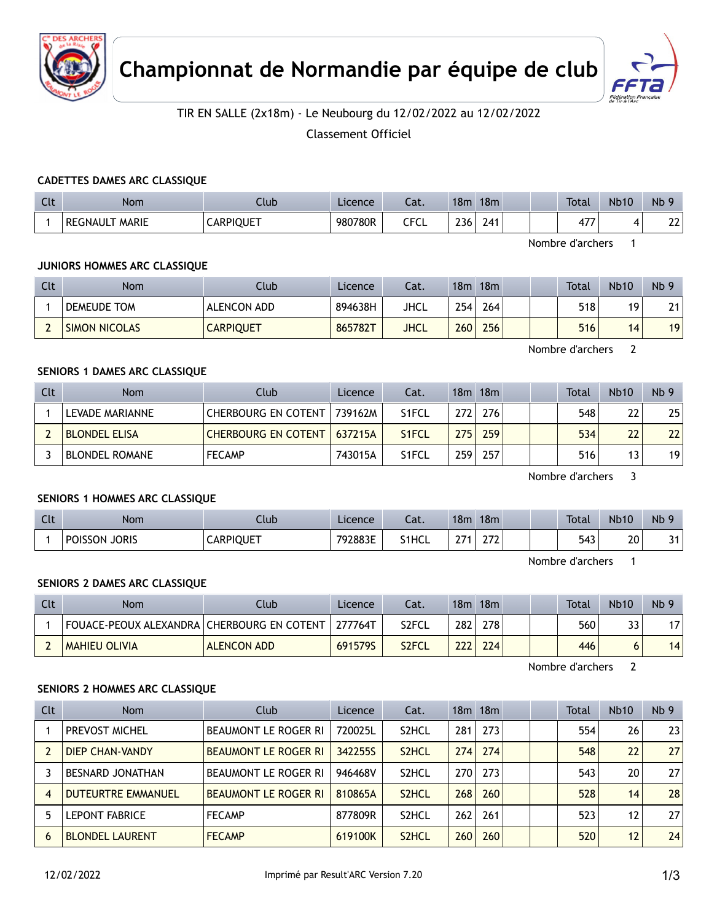



#### TIR EN SALLE (2x18m) - Le Neubourg du 12/02/2022 au 12/02/2022

Classement Officiel

#### **CADETTES DAMES ARC CLASSIQUE**

| C14<br>ิเเ | Nom                      | Club             | Licence | Cat. | 18 <sub>m</sub> | 18 <sub>m</sub> |  | <b>Total</b>          | <b>Nb10</b> | Nb <sub>9</sub>     |
|------------|--------------------------|------------------|---------|------|-----------------|-----------------|--|-----------------------|-------------|---------------------|
|            | <b>MARIE</b><br>REGNAULT | <b>CARPIQUET</b> | 980780R | CFCL | 236             | 241             |  | ィフフ<br>4 <sub>1</sub> | 4           | $\mathcal{L}$<br>LL |

Nombre d'archers 1

#### **JUNIORS HOMMES ARC CLASSIQUE**

| Clt | Nom                  | Club             | Licence | Cat.        | 18 <sub>m</sub> | 18m | <b>Total</b> | <b>Nb10</b> | Nb <sub>9</sub> |
|-----|----------------------|------------------|---------|-------------|-----------------|-----|--------------|-------------|-----------------|
|     | DEMEUDE TOM          | ALENCON ADD      | 894638H | JHCL        | 2541            | 264 | 518          | 19          | 21              |
|     | <b>SIMON NICOLAS</b> | <b>CARPIQUET</b> | 865782T | <b>JHCL</b> | 260             | 256 | 516          | 14          | 19              |

Nombre d'archers 2

#### **SENIORS 1 DAMES ARC CLASSIQUE**

| Clt | <b>Nom</b>            | Club                         | Licence | Cat.               |                  | 18m 18m |  | Total | <b>Nb10</b>     | Nb <sub>9</sub> |
|-----|-----------------------|------------------------------|---------|--------------------|------------------|---------|--|-------|-----------------|-----------------|
|     | LEVADE MARIANNE       | <b>CHERBOURG EN COTENT  </b> | 739162M | S <sub>1</sub> FCL | 272              | 276     |  | 548   | 22              | 25 <sub>1</sub> |
|     | <b>BLONDEL ELISA</b>  | <b>CHERBOURG EN COTENT</b>   | 637215A | S <sub>1</sub> FCL | 275 <sub>1</sub> | 259     |  | 534   | 22              | 22 <sub>1</sub> |
|     | <b>BLONDEL ROMANE</b> | <b>FECAMP</b>                | 743015A | S <sub>1</sub> FCL | 259              | 257     |  | 516   | 13 <sub>1</sub> | 19 <sup>1</sup> |

Nombre d'archers 3

#### **SENIORS 1 HOMMES ARC CLASSIQUE**

| Clt | <b>Nom</b>                     | Club             | Licence | $-1$<br>cal. | 18n.          | 18 <sub>m</sub>               |  | Total | <b>Nb10</b> | Nb      |
|-----|--------------------------------|------------------|---------|--------------|---------------|-------------------------------|--|-------|-------------|---------|
|     | <b>JORIS</b><br><b>POISSON</b> | <b>CARPIQUET</b> | 792883E | S1HCL        | $\sim$ $\sim$ | $\sim$ $\sim$<br><u>_ , _</u> |  | 543   | 20<br>__    | 24<br>ັ |

Nombre d'archers 1

#### **SENIORS 2 DAMES ARC CLASSIQUE**

| Clt | <b>Nom</b>                                   | Club               | Licence | Cat.               | 18m  | 18m |  | Total | <b>Nb10</b> | Nb <sub>9</sub> |
|-----|----------------------------------------------|--------------------|---------|--------------------|------|-----|--|-------|-------------|-----------------|
|     | FOUACE-PEOUX ALEXANDRA   CHERBOURG EN COTENT |                    | 277764T | S <sub>2</sub> FCL | 282  | 278 |  | 560   | 33          | 17              |
|     | <b>MAHIEU OLIVIA</b>                         | <b>ALENCON ADD</b> | 691579S | S2FCL              | 2221 | 224 |  | 446   | O           | 14              |

Nombre d'archers 2

#### **SENIORS 2 HOMMES ARC CLASSIQUE**

| <b>Clt</b> | <b>Nom</b>                | Club                        | Licence | Cat.               |     | 18m 18m |  | Total | <b>Nb10</b> | Nb <sub>9</sub> |
|------------|---------------------------|-----------------------------|---------|--------------------|-----|---------|--|-------|-------------|-----------------|
|            | <b>PREVOST MICHEL</b>     | BEAUMONT LE ROGER RI        | 720025L | S <sub>2</sub> HCL | 281 | 273     |  | 554   | 26          | 23              |
|            | DIEP CHAN-VANDY           | BEAUMONT LE ROGER RI        | 342255S | S <sub>2</sub> HCL | 274 | 274     |  | 548   | 22          | 27              |
|            | <b>BESNARD JONATHAN</b>   | BEAUMONT LE ROGER RI        | 946468V | S <sub>2</sub> HCL | 270 | 273     |  | 543   | 20          | 27              |
| 4          | <b>DUTEURTRE EMMANUEL</b> | <b>BEAUMONT LE ROGER RI</b> | 810865A | S <sub>2</sub> HCL | 268 | 260     |  | 528   | 14          | 28              |
|            | <b>LEPONT FABRICE</b>     | <b>FECAMP</b>               | 877809R | S <sub>2</sub> HCL | 262 | 261     |  | 523   | 12          | 27              |
| h          | <b>BLONDEL LAURENT</b>    | <b>FECAMP</b>               | 619100K | S <sub>2</sub> HCL | 260 | 260     |  | 520   | 12          | 24              |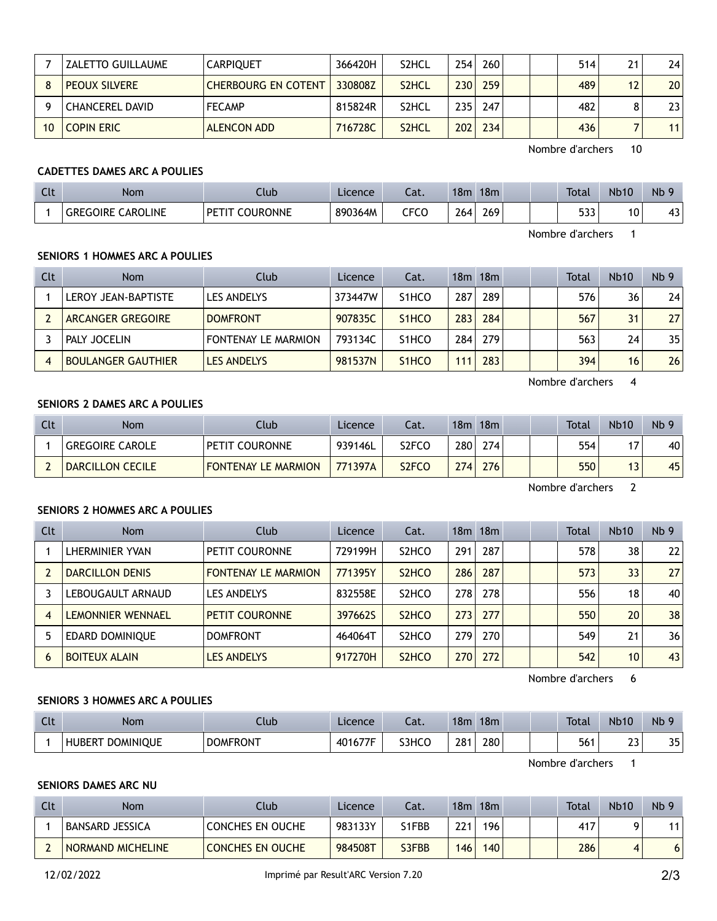|    | <b>ZALETTO GUILLAUME</b> | <b>CARPIOUET</b>           | 366420H | S <sub>2</sub> HCL | 254 | 260 |  | 514 | 21 | 24              |
|----|--------------------------|----------------------------|---------|--------------------|-----|-----|--|-----|----|-----------------|
|    | <b>PEOUX SILVERE</b>     | <b>CHERBOURG EN COTENT</b> | 330808Z | S <sub>2</sub> HCL | 230 | 259 |  | 489 | 12 | 20 <sub>1</sub> |
|    | CHANCEREL DAVID          | <b>FECAMP</b>              | 815824R | S <sub>2</sub> HCL | 235 | 247 |  | 482 | 8  | 231             |
| 10 | <b>COPIN ERIC</b>        | <b>ALENCON ADD</b>         | 716728C | S <sub>2</sub> HCL | 202 | 234 |  | 436 |    | 11 <sup>1</sup> |

Nombre d'archers 10

#### **CADETTES DAMES ARC A POULIES**

| Clt | <b>Nom</b>                        | Club             | Licence | $\sim$<br>cal. | 18m | 18m |  | <b>Total</b> | <b>Nb10</b> | Nb <sub>9</sub> |
|-----|-----------------------------------|------------------|---------|----------------|-----|-----|--|--------------|-------------|-----------------|
|     | `AROLINE<br><b>GREGOIRE</b><br>◡◠ | :OURONNE<br>DET" | 890364M | CFCO           | 264 | 269 |  | raa<br>JJJ   | 10          | 43<br>TJ.       |

Nombre d'archers 1

#### **SENIORS 1 HOMMES ARC A POULIES**

| Clt | <b>Nom</b>                | Club                       | Licence | Cat.               |                  | 18m 18m |  | Total | <b>Nb10</b> | Nb <sub>9</sub> |
|-----|---------------------------|----------------------------|---------|--------------------|------------------|---------|--|-------|-------------|-----------------|
|     | LEROY JEAN-BAPTISTE       | LES ANDELYS                | 373447W | S <sub>1</sub> HCO | 287              | 289     |  | 576   | 36          | 24              |
|     | <b>ARCANGER GREGOIRE</b>  | <b>DOMFRONT</b>            | 907835C | S <sub>1</sub> HCO | 283              | 284     |  | 567   | 31          | 27              |
|     | <b>PALY JOCELIN</b>       | <b>FONTENAY LE MARMION</b> | 793134C | S <sub>1</sub> HCO | 284 <sub>1</sub> | 279     |  | 563   | 24          | 35              |
|     | <b>BOULANGER GAUTHIER</b> | <b>LES ANDELYS</b>         | 981537N | S <sub>1</sub> HCO | 111              | 283     |  | 394   | 16          | 26              |

Nombre d'archers 4

#### **SENIORS 2 DAMES ARC A POULIES**

| Clt | Nom                    | Club.                      | Licence | Cat.               | 18 <sub>m</sub> | 18m |  | Total | <b>Nb10</b> | Nb <sub>9</sub> |
|-----|------------------------|----------------------------|---------|--------------------|-----------------|-----|--|-------|-------------|-----------------|
|     | <b>GREGOIRE CAROLE</b> | PETIT COURONNE             | 939146L | S2FCO              | 280             | 274 |  | 554   |             | 40              |
|     | DARCILLON CECILE       | <b>FONTENAY LE MARMION</b> | 771397A | S <sub>2</sub> FCO | 274             | 276 |  | 550   |             | 45              |

Nombre d'archers 2

#### **SENIORS 2 HOMMES ARC A POULIES**

| Clt | Nom                      | Club                       | Licence | Cat.                           |     | $18m$ $18m$ |  | <b>Total</b> | <b>Nb10</b> | Nb <sub>9</sub> |
|-----|--------------------------|----------------------------|---------|--------------------------------|-----|-------------|--|--------------|-------------|-----------------|
|     | LHERMINIER YVAN          | PETIT COURONNE             | 729199H | S <sub>2</sub> HCO             | 291 | 287         |  | 578          | 38          | 22              |
|     | <b>DARCILLON DENIS</b>   | <b>FONTENAY LE MARMION</b> | 771395Y | S <sub>2</sub> H <sub>CO</sub> | 286 | 287         |  | 573          | 33          | 27              |
|     | LEBOUGAULT ARNAUD        | <b>LES ANDELYS</b>         | 832558E | S <sub>2</sub> HCO             | 278 | 278         |  | 556          | 18          | 40              |
|     | <b>LEMONNIER WENNAEL</b> | PETIT COURONNE             | 397662S | S <sub>2</sub> H <sub>CO</sub> | 273 | 277         |  | 550          | 20          | 38              |
|     | <b>EDARD DOMINIOUE</b>   | <b>DOMFRONT</b>            | 464064T | S <sub>2</sub> HCO             | 279 | 270         |  | 549          | 21          | 36              |
| 6   | <b>BOITEUX ALAIN</b>     | <b>LES ANDELYS</b>         | 917270H | S <sub>2</sub> H <sub>CO</sub> | 270 | 272         |  | 542          | 10          | 43              |

Nombre d'archers 6

#### **SENIORS 3 HOMMES ARC A POULIES**

| Clt | <b>Nom</b>                 | lub             | Licence | $\sim$<br>Cal. | 18 <sub>m</sub> | 18 <sub>m</sub> |  | Total | <b>Nb10</b>          | <b>Nb</b>      |
|-----|----------------------------|-----------------|---------|----------------|-----------------|-----------------|--|-------|----------------------|----------------|
|     | <b>DOMINIQUE</b><br>HUBERT | <b>DOMFRONT</b> | 401677F | S3HCO          | 28 <sup>7</sup> | 280             |  | 561   | $\sim$ $\sim$<br>ر ے | つに<br><u>.</u> |

Nombre d'archers 1

#### **SENIORS DAMES ARC NU**

| Clt | Nom               | <b>Club</b>             | Licence | Cat.  | 18m | 18m |  | Total | <b>Nb10</b> | Nb <sub>9</sub> |
|-----|-------------------|-------------------------|---------|-------|-----|-----|--|-------|-------------|-----------------|
|     | BANSARD JESSICA   | <b>CONCHES EN OUCHE</b> | 983133Y | S1FBB | 221 | 196 |  | 417   |             |                 |
|     | NORMAND MICHELINE | CONCHES EN OUCHE        | 984508T | S3FBB | 146 | 140 |  | 286   |             | יס              |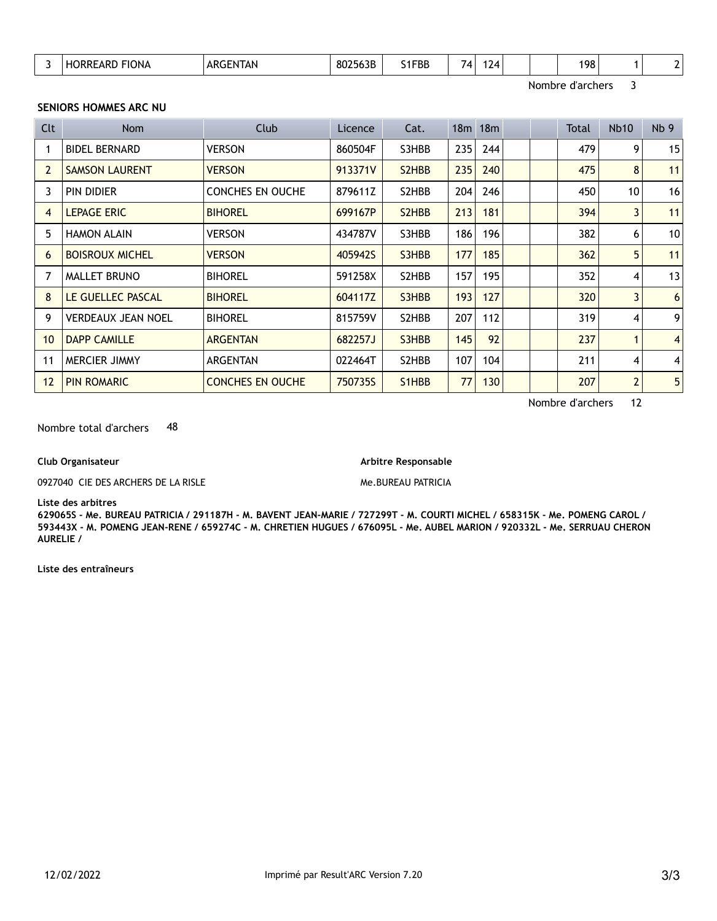|  | $\sim$<br>. . | UNA | . $API$<br>ח הו<br>$\cdot$ .<br>______ | .<br>$\mathbf{u}$<br>םנסכ<br><b>8</b> UZ | S1FBB | - | $\overline{A}$<br>. . |  |  | 198 |  |  |  |
|--|---------------|-----|----------------------------------------|------------------------------------------|-------|---|-----------------------|--|--|-----|--|--|--|
|--|---------------|-----|----------------------------------------|------------------------------------------|-------|---|-----------------------|--|--|-----|--|--|--|

Nombre d'archers 3

#### **SENIORS HOMMES ARC NU**

| Clt            | Nom                       | Club                    | Licence | Cat.                            |     | 18m 18m |  | Total | <b>Nb10</b>    | Nb <sub>9</sub> |
|----------------|---------------------------|-------------------------|---------|---------------------------------|-----|---------|--|-------|----------------|-----------------|
|                | <b>BIDEL BERNARD</b>      | <b>VERSON</b>           | 860504F | S3HBB                           | 235 | 244     |  | 479   | 9              | 15              |
| $\overline{2}$ | <b>SAMSON LAURENT</b>     | <b>VERSON</b>           | 913371V | S <sub>2</sub> H <sub>BB</sub>  | 235 | 240     |  | 475   | 8              | 11              |
| 3              | <b>PIN DIDIER</b>         | <b>CONCHES EN OUCHE</b> | 879611Z | S2HBB                           | 204 | 246     |  | 450   | 10             | 16              |
| 4              | <b>LEPAGE ERIC</b>        | <b>BIHOREL</b>          | 699167P | S <sub>2</sub> H <sub>B</sub> B | 213 | 181     |  | 394   | $\overline{3}$ | 11              |
| 5              | <b>HAMON ALAIN</b>        | VERSON                  | 434787V | S3HBB                           | 186 | 196     |  | 382   | 6              | 10              |
| 6              | <b>BOISROUX MICHEL</b>    | <b>VERSON</b>           | 405942S | S3HBB                           | 177 | 185     |  | 362   | 5              | 11              |
| 7              | <b>MALLET BRUNO</b>       | <b>BIHOREL</b>          | 591258X | S2HBB                           | 157 | 195     |  | 352   | 4              | 13              |
| 8              | LE GUELLEC PASCAL         | <b>BIHOREL</b>          | 604117Z | S3HBB                           | 193 | 127     |  | 320   | 3              | 6               |
| 9              | <b>VERDEAUX JEAN NOEL</b> | <b>BIHOREL</b>          | 815759V | S2HBB                           | 207 | 112     |  | 319   | 4              | 9               |
| 10             | <b>DAPP CAMILLE</b>       | <b>ARGENTAN</b>         | 682257J | S3HBB                           | 145 | 92      |  | 237   |                | $\overline{4}$  |
| 11             | <b>MERCIER JIMMY</b>      | ARGENTAN                | 022464T | S2HBB                           | 107 | 104     |  | 211   | 4              | 4               |
| 12             | <b>PIN ROMARIC</b>        | <b>CONCHES EN OUCHE</b> | 750735S | S <sub>1</sub> H <sub>B</sub> B | 77  | 130     |  | 207   | 2              | 5               |

Nombre d'archers 12

Nombre total d'archers 48

**Club Organisateur**

0927040 CIE DES ARCHERS DE LA RISLE

**Arbitre Responsable**

Me.BUREAU PATRICIA

**Liste des arbitres**

**629065S - Me. BUREAU PATRICIA / 291187H - M. BAVENT JEAN-MARIE / 727299T - M. COURTI MICHEL / 658315K - Me. POMENG CAROL / 593443X - M. POMENG JEAN-RENE / 659274C - M. CHRETIEN HUGUES / 676095L - Me. AUBEL MARION / 920332L - Me. SERRUAU CHERON AURELIE /**

**Liste des entraîneurs**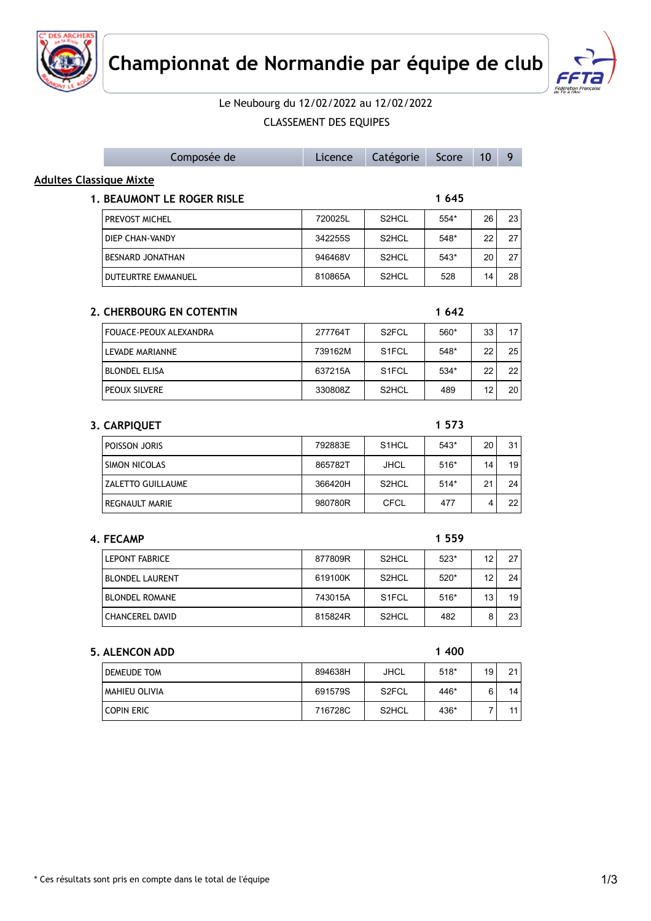



## Le Neubourg du 12/02/2022 au 12/02/2022

### CLASSEMENT DES EQUIPES

| <b>Adultes Classique Mixte</b><br>1 6 4 5<br>1. BEAUMONT LE ROGER RISLE<br>26<br>23<br>PREVOST MICHEL<br>720025L<br>S2HCL<br>554*<br>DIEP CHAN-VANDY<br>342255S<br>S2HCL<br>548*<br>22<br>27<br>S2HCL<br>BESNARD JONATHAN<br>946468V<br>543*<br>20<br>27<br>810865A<br>S2HCL<br>14<br>28<br>DUTEURTRE EMMANUEL<br>528<br>1 642<br>2. CHERBOURG EN COTENTIN<br>277764T<br>S2FCL<br>560*<br>17<br>FOUACE-PEOUX ALEXANDRA<br>33<br>25<br>LEVADE MARIANNE<br>739162M<br>S <sub>1</sub> FCL<br>548*<br>22<br>22<br><b>BLONDEL ELISA</b><br>637215A<br>S <sub>1</sub> FCL<br>534*<br>22<br>12<br>20<br>PEOUX SILVERE<br>330808Z<br>S2HCL<br>489<br>1 5 7 3<br>3. CARPIQUET<br>POISSON JORIS<br>792883E<br>S1HCL<br>20<br>31<br>543*<br><b>SIMON NICOLAS</b><br>865782T<br><b>JHCL</b><br>$516*$<br>14<br>19<br>24<br><b>ZALETTO GUILLAUME</b><br>366420H<br>S2HCL<br>$514*$<br>21<br>REGNAULT MARIE<br>980780R<br><b>CFCL</b><br>477<br>4<br>22<br>1 5 5 9<br>4. FECAMP<br><b>LEPONT FABRICE</b><br>877809R<br>S2HCL<br>12<br>27<br>$523*$<br>619100K<br>S2HCL<br>520*<br>12<br>24<br><b>BLONDEL LAURENT</b><br>13<br>19<br><b>BLONDEL ROMANE</b><br>743015A<br>S <sub>1</sub> FCL<br>$516*$<br>8<br>23<br>815824R<br>S2HCL<br>482<br><b>CHANCEREL DAVID</b><br>1 400<br>5. ALENCON ADD<br>19<br>21<br>894638H<br><b>JHCL</b><br>$518*$<br>DEMEUDE TOM<br>6<br>14<br>MAHIEU OLIVIA<br>691579S<br>S <sub>2</sub> FCL<br>446*<br><b>COPIN ERIC</b><br>716728C<br>S2HCL<br>436*<br>$\overline{7}$<br>11 | Composée de | Licence | Catégorie | Score | 10 | 9 |
|------------------------------------------------------------------------------------------------------------------------------------------------------------------------------------------------------------------------------------------------------------------------------------------------------------------------------------------------------------------------------------------------------------------------------------------------------------------------------------------------------------------------------------------------------------------------------------------------------------------------------------------------------------------------------------------------------------------------------------------------------------------------------------------------------------------------------------------------------------------------------------------------------------------------------------------------------------------------------------------------------------------------------------------------------------------------------------------------------------------------------------------------------------------------------------------------------------------------------------------------------------------------------------------------------------------------------------------------------------------------------------------------------------------------------------------------------------------------------------------------|-------------|---------|-----------|-------|----|---|
|                                                                                                                                                                                                                                                                                                                                                                                                                                                                                                                                                                                                                                                                                                                                                                                                                                                                                                                                                                                                                                                                                                                                                                                                                                                                                                                                                                                                                                                                                                |             |         |           |       |    |   |
|                                                                                                                                                                                                                                                                                                                                                                                                                                                                                                                                                                                                                                                                                                                                                                                                                                                                                                                                                                                                                                                                                                                                                                                                                                                                                                                                                                                                                                                                                                |             |         |           |       |    |   |
|                                                                                                                                                                                                                                                                                                                                                                                                                                                                                                                                                                                                                                                                                                                                                                                                                                                                                                                                                                                                                                                                                                                                                                                                                                                                                                                                                                                                                                                                                                |             |         |           |       |    |   |
|                                                                                                                                                                                                                                                                                                                                                                                                                                                                                                                                                                                                                                                                                                                                                                                                                                                                                                                                                                                                                                                                                                                                                                                                                                                                                                                                                                                                                                                                                                |             |         |           |       |    |   |
|                                                                                                                                                                                                                                                                                                                                                                                                                                                                                                                                                                                                                                                                                                                                                                                                                                                                                                                                                                                                                                                                                                                                                                                                                                                                                                                                                                                                                                                                                                |             |         |           |       |    |   |
|                                                                                                                                                                                                                                                                                                                                                                                                                                                                                                                                                                                                                                                                                                                                                                                                                                                                                                                                                                                                                                                                                                                                                                                                                                                                                                                                                                                                                                                                                                |             |         |           |       |    |   |
|                                                                                                                                                                                                                                                                                                                                                                                                                                                                                                                                                                                                                                                                                                                                                                                                                                                                                                                                                                                                                                                                                                                                                                                                                                                                                                                                                                                                                                                                                                |             |         |           |       |    |   |
|                                                                                                                                                                                                                                                                                                                                                                                                                                                                                                                                                                                                                                                                                                                                                                                                                                                                                                                                                                                                                                                                                                                                                                                                                                                                                                                                                                                                                                                                                                |             |         |           |       |    |   |
|                                                                                                                                                                                                                                                                                                                                                                                                                                                                                                                                                                                                                                                                                                                                                                                                                                                                                                                                                                                                                                                                                                                                                                                                                                                                                                                                                                                                                                                                                                |             |         |           |       |    |   |
|                                                                                                                                                                                                                                                                                                                                                                                                                                                                                                                                                                                                                                                                                                                                                                                                                                                                                                                                                                                                                                                                                                                                                                                                                                                                                                                                                                                                                                                                                                |             |         |           |       |    |   |
|                                                                                                                                                                                                                                                                                                                                                                                                                                                                                                                                                                                                                                                                                                                                                                                                                                                                                                                                                                                                                                                                                                                                                                                                                                                                                                                                                                                                                                                                                                |             |         |           |       |    |   |
|                                                                                                                                                                                                                                                                                                                                                                                                                                                                                                                                                                                                                                                                                                                                                                                                                                                                                                                                                                                                                                                                                                                                                                                                                                                                                                                                                                                                                                                                                                |             |         |           |       |    |   |
|                                                                                                                                                                                                                                                                                                                                                                                                                                                                                                                                                                                                                                                                                                                                                                                                                                                                                                                                                                                                                                                                                                                                                                                                                                                                                                                                                                                                                                                                                                |             |         |           |       |    |   |
|                                                                                                                                                                                                                                                                                                                                                                                                                                                                                                                                                                                                                                                                                                                                                                                                                                                                                                                                                                                                                                                                                                                                                                                                                                                                                                                                                                                                                                                                                                |             |         |           |       |    |   |
|                                                                                                                                                                                                                                                                                                                                                                                                                                                                                                                                                                                                                                                                                                                                                                                                                                                                                                                                                                                                                                                                                                                                                                                                                                                                                                                                                                                                                                                                                                |             |         |           |       |    |   |
|                                                                                                                                                                                                                                                                                                                                                                                                                                                                                                                                                                                                                                                                                                                                                                                                                                                                                                                                                                                                                                                                                                                                                                                                                                                                                                                                                                                                                                                                                                |             |         |           |       |    |   |
|                                                                                                                                                                                                                                                                                                                                                                                                                                                                                                                                                                                                                                                                                                                                                                                                                                                                                                                                                                                                                                                                                                                                                                                                                                                                                                                                                                                                                                                                                                |             |         |           |       |    |   |
|                                                                                                                                                                                                                                                                                                                                                                                                                                                                                                                                                                                                                                                                                                                                                                                                                                                                                                                                                                                                                                                                                                                                                                                                                                                                                                                                                                                                                                                                                                |             |         |           |       |    |   |
|                                                                                                                                                                                                                                                                                                                                                                                                                                                                                                                                                                                                                                                                                                                                                                                                                                                                                                                                                                                                                                                                                                                                                                                                                                                                                                                                                                                                                                                                                                |             |         |           |       |    |   |
|                                                                                                                                                                                                                                                                                                                                                                                                                                                                                                                                                                                                                                                                                                                                                                                                                                                                                                                                                                                                                                                                                                                                                                                                                                                                                                                                                                                                                                                                                                |             |         |           |       |    |   |
|                                                                                                                                                                                                                                                                                                                                                                                                                                                                                                                                                                                                                                                                                                                                                                                                                                                                                                                                                                                                                                                                                                                                                                                                                                                                                                                                                                                                                                                                                                |             |         |           |       |    |   |
|                                                                                                                                                                                                                                                                                                                                                                                                                                                                                                                                                                                                                                                                                                                                                                                                                                                                                                                                                                                                                                                                                                                                                                                                                                                                                                                                                                                                                                                                                                |             |         |           |       |    |   |
|                                                                                                                                                                                                                                                                                                                                                                                                                                                                                                                                                                                                                                                                                                                                                                                                                                                                                                                                                                                                                                                                                                                                                                                                                                                                                                                                                                                                                                                                                                |             |         |           |       |    |   |
|                                                                                                                                                                                                                                                                                                                                                                                                                                                                                                                                                                                                                                                                                                                                                                                                                                                                                                                                                                                                                                                                                                                                                                                                                                                                                                                                                                                                                                                                                                |             |         |           |       |    |   |
|                                                                                                                                                                                                                                                                                                                                                                                                                                                                                                                                                                                                                                                                                                                                                                                                                                                                                                                                                                                                                                                                                                                                                                                                                                                                                                                                                                                                                                                                                                |             |         |           |       |    |   |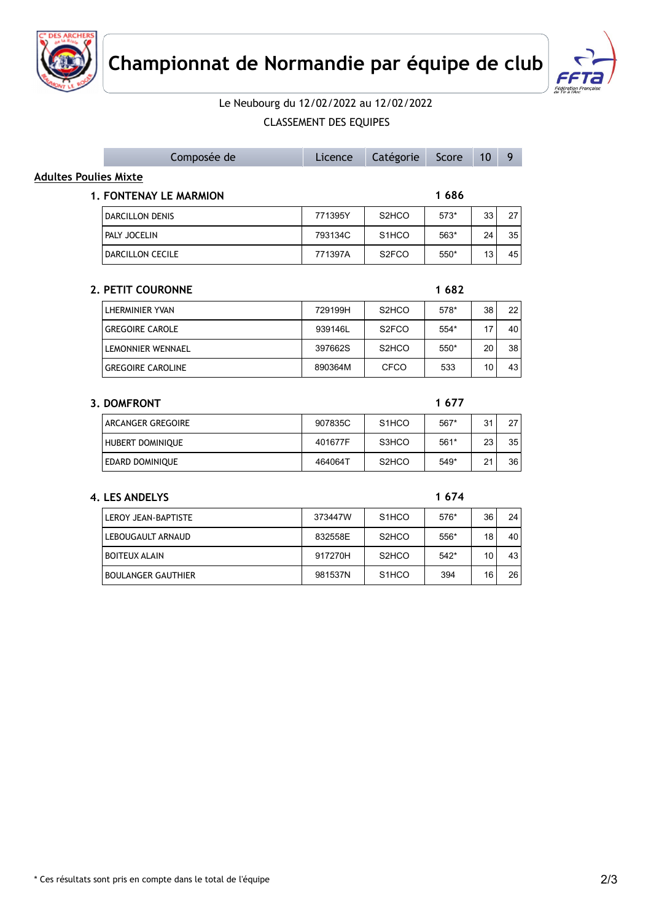



## Le Neubourg du 12/02/2022 au 12/02/2022

CLASSEMENT DES EQUIPES

| 33 | 27                                                                                    |
|----|---------------------------------------------------------------------------------------|
| 24 | 35                                                                                    |
| 13 | 45                                                                                    |
|    |                                                                                       |
| 38 | 22                                                                                    |
| 17 | 40                                                                                    |
| 20 | 38                                                                                    |
| 10 | 43                                                                                    |
|    |                                                                                       |
|    |                                                                                       |
|    | 1686<br>$573*$<br>$563*$<br>$550*$<br>1682<br>578*<br>$554*$<br>$550*$<br>533<br>1677 |

| ARCANGER GREGOIRE       | 907835C | S <sub>1</sub> HCO             | 567*   | 31              | 27 |
|-------------------------|---------|--------------------------------|--------|-----------------|----|
| <b>HUBERT DOMINIOUE</b> | 401677F | S3HCO                          | 561*   | 23 <sub>1</sub> | 35 |
| EDARD DOMINIOUE         | 464064T | S <sub>2</sub> H <sub>CO</sub> | $549*$ | 21              | 36 |

### **4. LES ANDELYS 1 674**

| LEROY JEAN-BAPTISTE       | 373447W | S <sub>1</sub> HCO | 576*   | 36 | 24 |
|---------------------------|---------|--------------------|--------|----|----|
| LEBOUGAULT ARNAUD         | 832558E | S <sub>2</sub> HCO | 556*   | 18 | 40 |
| <b>BOITEUX ALAIN</b>      | 917270H | S <sub>2</sub> HCO | $542*$ | 10 | 43 |
| <b>BOULANGER GAUTHIER</b> | 981537N | S <sub>1</sub> HCO | 394    | 16 | 26 |

Composée de Licence Catégorie Score 10 9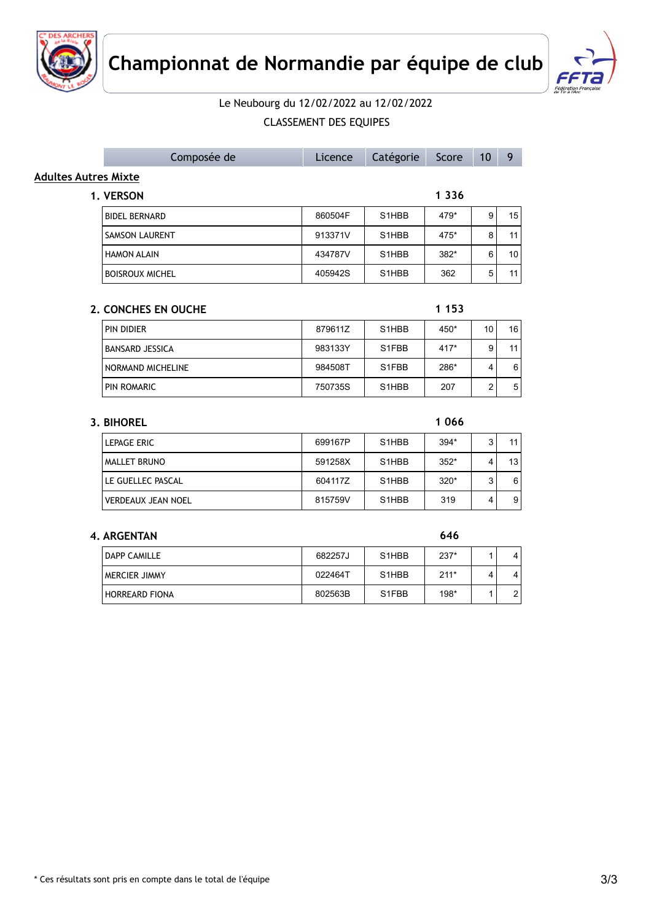



# Le Neubourg du 12/02/2022 au 12/02/2022

CLASSEMENT DES EQUIPES

|                      | Composée de              | Licence | Catégorie          | Score   | 10 | 9  |
|----------------------|--------------------------|---------|--------------------|---------|----|----|
| Adultes Autres Mixte |                          |         |                    |         |    |    |
|                      | 1. VERSON                |         |                    | 1 3 3 6 |    |    |
|                      | <b>BIDEL BERNARD</b>     | 860504F | S <sub>1</sub> HBB | 479*    | 9  | 15 |
|                      | <b>SAMSON LAURENT</b>    | 913371V | S <sub>1</sub> HBB | 475*    | 8  | 11 |
|                      | <b>HAMON ALAIN</b>       | 434787V | S <sub>1</sub> HBB | $382*$  | 6  | 10 |
|                      | <b>BOISROUX MICHEL</b>   | 405942S | S <sub>1</sub> HBB | 362     | 5  | 11 |
|                      |                          |         |                    |         |    |    |
|                      | 2. CONCHES EN OUCHE      |         |                    | 1 1 5 3 |    |    |
|                      | PIN DIDIER               | 879611Z | S <sub>1</sub> HBB | 450*    | 10 | 16 |
|                      | <b>BANSARD JESSICA</b>   | 983133Y | S1FBB              | $417*$  | 9  | 11 |
|                      | <b>NORMAND MICHELINE</b> | 984508T | S1FBB              | 286*    | 4  | 6  |

**3. BIHOREL 1 066** LEPAGE ERIC **CHOOSE ERIC CONTROL** 699167P S1HBB 394\* 3 11 MALLET BRUNO 591258X S1HBB 352\* 4 13 LE GUELLEC PASCAL 604117Z S1HBB 320\* 3 6 VERDEAUX JEAN NOEL 815759V S1HBB 319 4 9

PIN ROMARIC 2 350735S S1HBB 207 2 5

#### **4. ARGENTAN 646**

| <b>DAPP CAMILLE</b> | 682257J | S <sub>1</sub> HBB | $237*$ |   | 4 |
|---------------------|---------|--------------------|--------|---|---|
| MERCIER JIMMY       | 022464T | S <sub>1</sub> HBB | $211*$ | 4 | 4 |
| HORREARD FIONA      | 802563B | S <sub>1</sub> FBB | 198*   |   | ົ |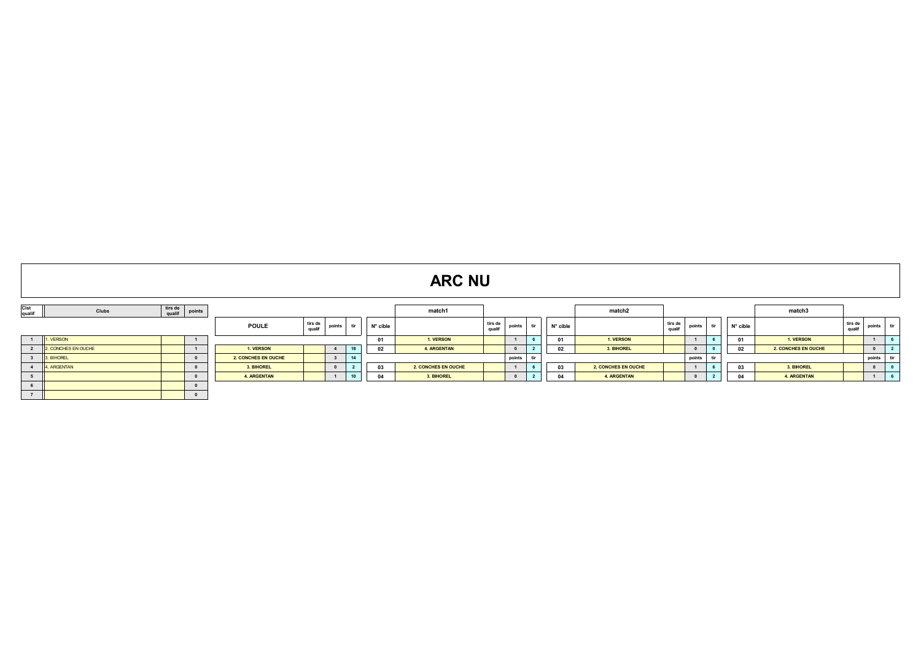|                 | <b>ARC NU</b>       |                   |          |                     |                   |                         |                 |          |                     |                                    |  |          |                     |                   |          |      |          |                     |                   |        |            |
|-----------------|---------------------|-------------------|----------|---------------------|-------------------|-------------------------|-----------------|----------|---------------------|------------------------------------|--|----------|---------------------|-------------------|----------|------|----------|---------------------|-------------------|--------|------------|
| Clst<br>qualif  | Clubs               | tirs de<br>qualif | points   |                     |                   |                         |                 |          | match1              |                                    |  |          | match2              |                   |          |      |          | match3              |                   |        |            |
|                 |                     |                   |          | <b>POULE</b>        | tirs de<br>qualif | points                  |                 | N° cible |                     | tirs de<br>points<br>tir<br>qualif |  | N° cible |                     | tirs de<br>qualif | points   | ur u | N° cible |                     | tirs de<br>qualit | points | tir        |
|                 | 1 1. VERSON         |                   |          |                     |                   |                         |                 | 01       | 1. VERSON           |                                    |  | 01       | 1. VERSON           |                   |          |      | 01       | 1. VERSON           |                   |        |            |
| $\overline{2}$  | 2. CONCHES EN OUCHE |                   |          | 1. VERSON           |                   | $\overline{4}$          | 18              | 02       | <b>4. ARGENTAN</b>  |                                    |  | 02       | 3. BIHOREL          |                   |          |      | 02       | 2. CONCHES EN OUCHE |                   |        |            |
| $3^{\circ}$     | 3. BIHOREL          |                   |          | 2. CONCHES EN OUCHE |                   | $\overline{\mathbf{3}}$ | 14              |          |                     | tir<br>points                      |  |          |                     |                   | points   |      |          |                     |                   | points | tir        |
| 4 <sup>7</sup>  | 4. ARGENTAN         |                   |          | 3. BIHOREL          |                   |                         | $\sim$          | 03       | 2. CONCHES EN OUCHE |                                    |  | 03       | 2. CONCHES EN OUCHE |                   |          |      | 03       | 3. BIHOREL          |                   |        |            |
| 5               |                     |                   |          | <b>4. ARGENTAN</b>  |                   |                         | 10 <sup>1</sup> | 04       | 3. BIHOREL          |                                    |  | 04       | <b>4. ARGENTAN</b>  |                   | $\Omega$ |      | 04       | 4. ARGENTAN         |                   |        | $\epsilon$ |
| $6\overline{6}$ |                     |                   |          |                     |                   |                         |                 |          |                     |                                    |  |          |                     |                   |          |      |          |                     |                   |        |            |
| $\overline{ }$  |                     |                   | $\Omega$ |                     |                   |                         |                 |          |                     |                                    |  |          |                     |                   |          |      |          |                     |                   |        |            |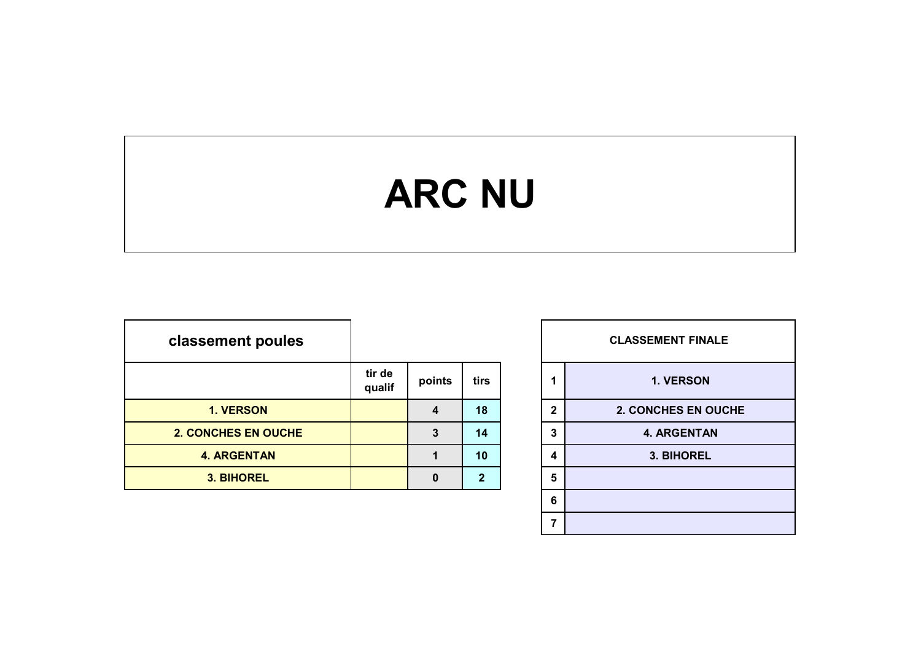# **ARC NU**

| classement poules          |                  |        |      |              | <b>CLASSEMENT FINALE</b> |
|----------------------------|------------------|--------|------|--------------|--------------------------|
|                            | tir de<br>qualif | points | tirs |              | 1. VERSON                |
| 1. VERSON                  |                  | 4      | 18   | $\mathbf{2}$ | 2. CONCHES EN OUCHE      |
| <b>2. CONCHES EN OUCHE</b> |                  | 3      | 14   | 3            | <b>4. ARGENTAN</b>       |
| <b>4. ARGENTAN</b>         |                  |        | 10   | 4            | 3. BIHOREL               |
| 3. BIHOREL                 |                  | 0      | 2    | 5            |                          |

|          |                |              | <b>CLASSEMENT FINALE</b> |
|----------|----------------|--------------|--------------------------|
| points   | tirs           | 1            | 1. VERSON                |
| 4        | 18             | $\mathbf{2}$ | 2. CONCHES EN OUCHE      |
| 3        | 14             | 3            | <b>4. ARGENTAN</b>       |
| 1        | 10             | 4            | 3. BIHOREL               |
| $\bf{0}$ | $\overline{2}$ | 5            |                          |
|          |                | 6            |                          |
|          |                | 7            |                          |
|          |                |              |                          |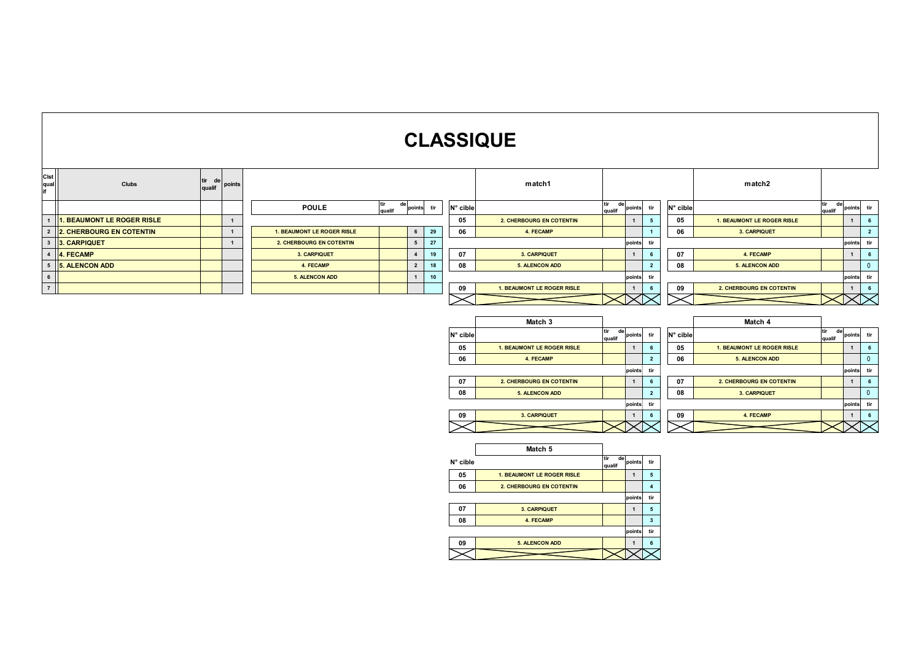# **CLASSIQUE**

| Clst<br>qual<br>if | Clubs                                  | tir<br>de<br>qualif | points       |                               |    |                |    |          | match1                            |                     | match2       |                |          |                            |                     |              |                |
|--------------------|----------------------------------------|---------------------|--------------|-------------------------------|----|----------------|----|----------|-----------------------------------|---------------------|--------------|----------------|----------|----------------------------|---------------------|--------------|----------------|
|                    |                                        |                     |              | tir<br><b>POULE</b><br>qualif | de | points<br>tir  |    | N° cible | tir<br>qualif                     |                     | de<br>points | tir            | N° cible |                            | de<br>tir<br>qualif | points       | tir            |
| $\overline{1}$     | <b>1. BEAUMONT LE ROGER RISLE</b>      |                     | $\mathbf{1}$ |                               |    |                |    | 05       | 2. CHERBOURG EN COTENTIN          |                     | $\mathbf{1}$ | 5              | 05       | 1. BEAUMONT LE ROGER RISLE |                     | $\mathbf{1}$ | 6              |
|                    | 2 2 2. CHERBOURG EN COTENTIN           |                     | 1            | 1. BEAUMONT LE ROGER RISLE    |    | $6\phantom{.}$ | 29 | 06       | 4. FECAMP                         |                     |              |                | 06       | 3. CARPIQUET               |                     |              | $\overline{2}$ |
|                    | 3 3. CARPIQUET                         |                     |              | 2. CHERBOURG EN COTENTIN      |    | 5 <sup>5</sup> | 27 |          |                                   |                     | points       | tir            |          |                            |                     | points       | tir            |
|                    | 4 4. FECAMP<br>5 5. ALENCON ADD<br>6 7 |                     |              | 3. CARPIQUET                  |    | $\overline{4}$ | 19 | 07       | 3. CARPIQUET                      |                     | $\mathbf{1}$ | 6              | 07       | 4. FECAMP                  |                     | 1            | 6              |
|                    |                                        |                     |              | 4. FECAMP                     |    | $\overline{2}$ | 18 | 08       | <b>5. ALENCON ADD</b>             |                     |              | $\overline{2}$ | 08       | <b>5. ALENCON ADD</b>      |                     |              | $\overline{0}$ |
|                    |                                        |                     |              | <b>5. ALENCON ADD</b>         |    | $\mathbf{1}$   | 10 |          |                                   |                     | points       | tir            |          |                            |                     | points       | tir            |
|                    |                                        |                     |              |                               |    |                |    | 09       | <b>1. BEAUMONT LE ROGER RISLE</b> |                     | $\mathbf{1}$ | 6              | 09       | 2. CHERBOURG EN COTENTIN   |                     | 1            | 6              |
|                    |                                        |                     |              |                               |    |                |    |          |                                   |                     |              |                |          |                            |                     |              |                |
|                    |                                        |                     |              |                               |    |                |    |          |                                   |                     |              |                |          |                            |                     |              |                |
|                    |                                        |                     |              |                               |    |                |    |          | Match 3                           |                     |              |                |          | Match 4                    |                     |              |                |
|                    |                                        |                     |              |                               |    |                |    | N° cible |                                   | tir<br>de<br>qualif | points       | tir            | N° cible |                            | de<br>qualif        | points tir   |                |
|                    |                                        |                     |              |                               |    |                |    | 05       | <b>1. BEAUMONT LE ROGER RISLE</b> |                     | $\mathbf{1}$ | 6              | 05       | 1. BEAUMONT LE ROGER RISLE |                     | 1            | 6              |
|                    |                                        |                     |              |                               |    |                |    | 06       | 4. FECAMP                         |                     |              | $\overline{2}$ | 06       | <b>5. ALENCON ADD</b>      |                     |              | $\overline{0}$ |
|                    |                                        |                     |              |                               |    |                |    |          |                                   |                     | points       | tir            |          |                            |                     | points       | tir            |
|                    |                                        |                     |              |                               |    |                |    | 07       | 2. CHERBOURG EN COTENTIN          |                     | $\mathbf{1}$ | 6              | 07       | 2. CHERBOURG EN COTENTIN   |                     | 1            | 6              |
|                    |                                        |                     |              |                               |    |                |    | 08       | <b>5. ALENCON ADD</b>             |                     |              | $\overline{2}$ | 08       | 3. CARPIQUET               |                     |              | $\mathbf{0}$   |
|                    |                                        |                     |              |                               |    |                |    |          |                                   |                     | points       | tir            |          |                            |                     | points       | tir            |
|                    |                                        |                     |              |                               |    |                |    | 09       | 3. CARPIQUET                      |                     |              | 6              | 09       | 4. FECAMP                  |                     |              | 6              |
|                    |                                        |                     |              |                               |    |                |    |          |                                   |                     |              |                |          |                            |                     |              |                |
|                    |                                        |                     |              |                               |    |                |    |          |                                   |                     |              |                |          |                            |                     |              |                |

|          | Match 5                           |                     |        |     |
|----------|-----------------------------------|---------------------|--------|-----|
| N° cible |                                   | tir<br>de<br>qualif | points | tir |
| 05       | <b>1. BEAUMONT LE ROGER RISLE</b> |                     |        | 5   |
| 06       | <b>2. CHERBOURG EN COTENTIN</b>   |                     |        | 4   |
|          |                                   |                     | points | tir |
| 07       | 3. CARPIQUET                      |                     |        | 5   |
| 08       | 4. FECAMP                         |                     |        | 3   |
|          |                                   |                     | points | tir |
| 09       | <b>5. ALENCON ADD</b>             |                     |        | 6   |
|          |                                   |                     |        |     |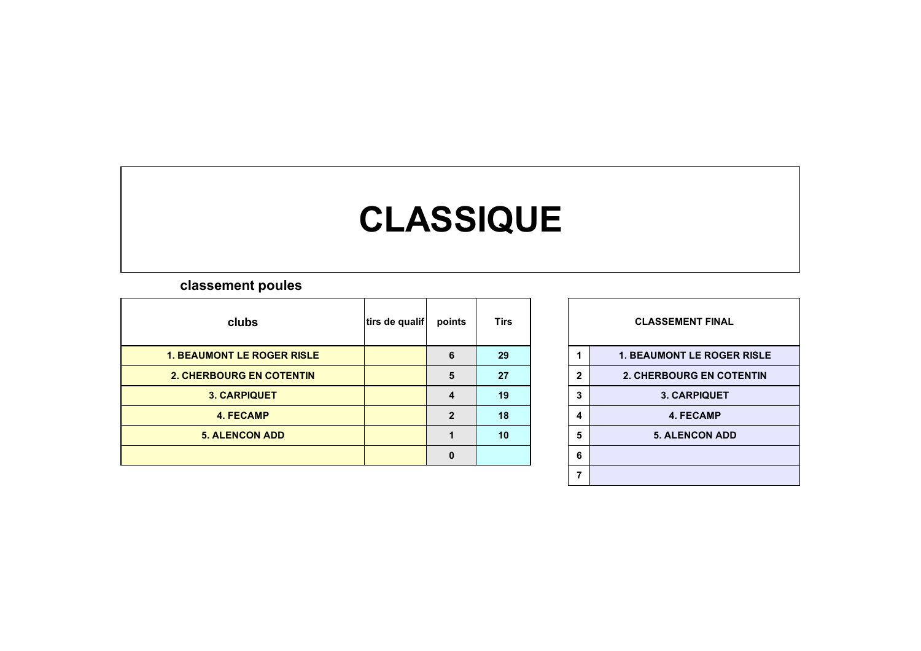# **CLASSIQUE**

### **classement poules**

| clubs                             | tirs de qualif | points         | <b>Tirs</b> |   | <b>CLASSEMENT FINAL</b>           |  |  |  |
|-----------------------------------|----------------|----------------|-------------|---|-----------------------------------|--|--|--|
| <b>1. BEAUMONT LE ROGER RISLE</b> |                | 6              | 29          |   | <b>1. BEAUMONT LE ROGER RISLE</b> |  |  |  |
| <b>2. CHERBOURG EN COTENTIN</b>   |                | 5              | 27          |   | <b>2. CHERBOURG EN COTENTIN</b>   |  |  |  |
| <b>3. CARPIQUET</b>               |                | 4              | 19          |   | <b>3. CARPIQUET</b>               |  |  |  |
| 4. FECAMP                         |                | $\overline{2}$ | 18          |   | <b>4. FECAMP</b>                  |  |  |  |
| <b>5. ALENCON ADD</b>             |                |                | 10          | 5 | <b>5. ALENCON ADD</b>             |  |  |  |
|                                   |                | $\Omega$       |             | 6 |                                   |  |  |  |
|                                   |                |                |             |   |                                   |  |  |  |

| <b>CLASSEMENT FINAL</b> |                                   |  |  |  |  |  |  |  |  |  |
|-------------------------|-----------------------------------|--|--|--|--|--|--|--|--|--|
| 1                       | <b>1. BEAUMONT LE ROGER RISLE</b> |  |  |  |  |  |  |  |  |  |
| $\mathbf{2}$            | <b>2. CHERBOURG EN COTENTIN</b>   |  |  |  |  |  |  |  |  |  |
| 3                       | <b>3. CARPIQUET</b>               |  |  |  |  |  |  |  |  |  |
| 4                       | <b>4. FECAMP</b>                  |  |  |  |  |  |  |  |  |  |
| 5                       | <b>5. ALENCON ADD</b>             |  |  |  |  |  |  |  |  |  |
| 6                       |                                   |  |  |  |  |  |  |  |  |  |
| 7                       |                                   |  |  |  |  |  |  |  |  |  |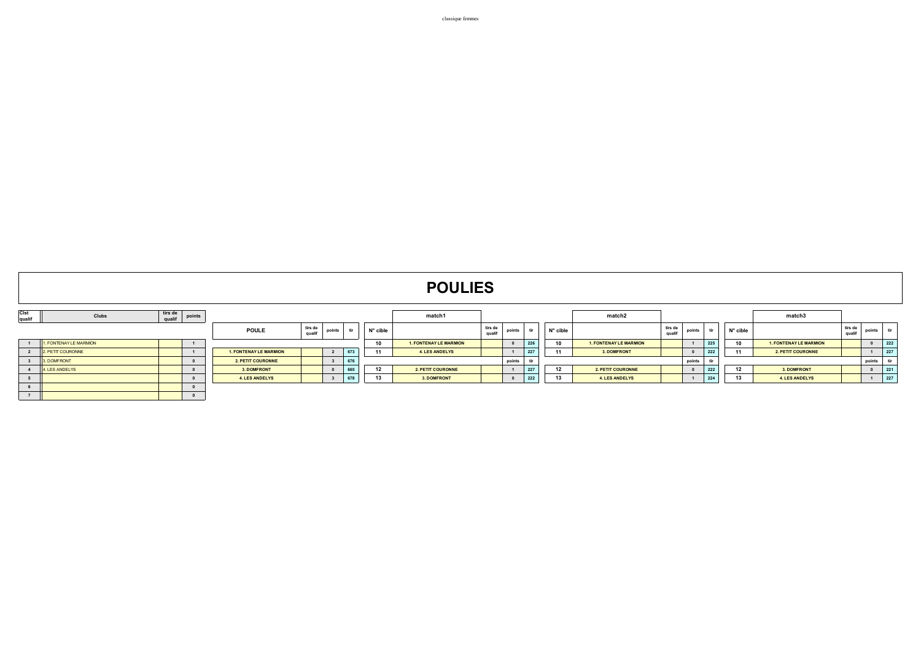|                | <b>POULIES</b>         |                   |          |                               |                   |                         |     |          |                               |                   |        |     |                   |                               |                   |        |     |          |                               |                   |        |                       |
|----------------|------------------------|-------------------|----------|-------------------------------|-------------------|-------------------------|-----|----------|-------------------------------|-------------------|--------|-----|-------------------|-------------------------------|-------------------|--------|-----|----------|-------------------------------|-------------------|--------|-----------------------|
| Cist<br>qualif | Clubs                  | tirs de<br>qualif | points   |                               |                   |                         |     |          | match1                        |                   |        |     |                   | match2                        |                   |        |     |          | match3                        |                   |        |                       |
|                |                        |                   |          | <b>POULE</b>                  | tirs de<br>qualif | points                  | tir | N° cible |                               | tirs de<br>qualif | points |     | $N^{\circ}$ cible |                               | tirs de<br>qualif | points | tir | N° cible |                               | tirs de<br>qualif | points | tir                   |
|                | 1. FONTENAY LE MARMION |                   |          |                               |                   |                         |     | 10       | <b>1. FONTENAY LE MARMION</b> |                   |        | 226 | 10                | <b>1. FONTENAY LE MARMION</b> |                   |        | 225 | 10       | <b>1. FONTENAY LE MARMION</b> |                   |        | 222                   |
|                | 2. PETIT COURONNE      |                   |          | <b>1. FONTENAY LE MARMION</b> |                   | $\overline{2}$          | 673 | 11       | <b>4. LES ANDELYS</b>         |                   |        | 227 | 11                | 3. DOMFRONT                   |                   |        | 222 | 11       | 2. PETIT COURONNE             |                   |        | 227                   |
|                | 3. DOMFRONT            |                   |          | <b>2. PETIT COURONNE</b>      |                   | $\overline{\mathbf{3}}$ | 676 |          |                               |                   | points | tir |                   |                               |                   | points |     |          |                               |                   | points |                       |
|                | 4. LES ANDELYS         |                   |          | 3. DOMFRONT                   |                   |                         | 665 | 12       | <b>2. PETIT COURONNE</b>      |                   |        | 227 | 12                | <b>2. PETIT COURONNE</b>      |                   |        | 222 | 12       | 3. DOMFRONT                   |                   |        | 221<br><b>Service</b> |
|                |                        |                   |          | <b>4. LES ANDELYS</b>         |                   |                         | 678 | 13       | 3. DOMFRONT                   |                   |        | 222 | 13                | 4. LES ANDELYS                |                   |        | 224 | 13       | <b>4. LES ANDELYS</b>         |                   |        | 227                   |
|                |                        |                   |          |                               |                   |                         |     |          |                               |                   |        |     |                   |                               |                   |        |     |          |                               |                   |        |                       |
|                |                        |                   | $\Omega$ |                               |                   |                         |     |          |                               |                   |        |     |                   |                               |                   |        |     |          |                               |                   |        |                       |